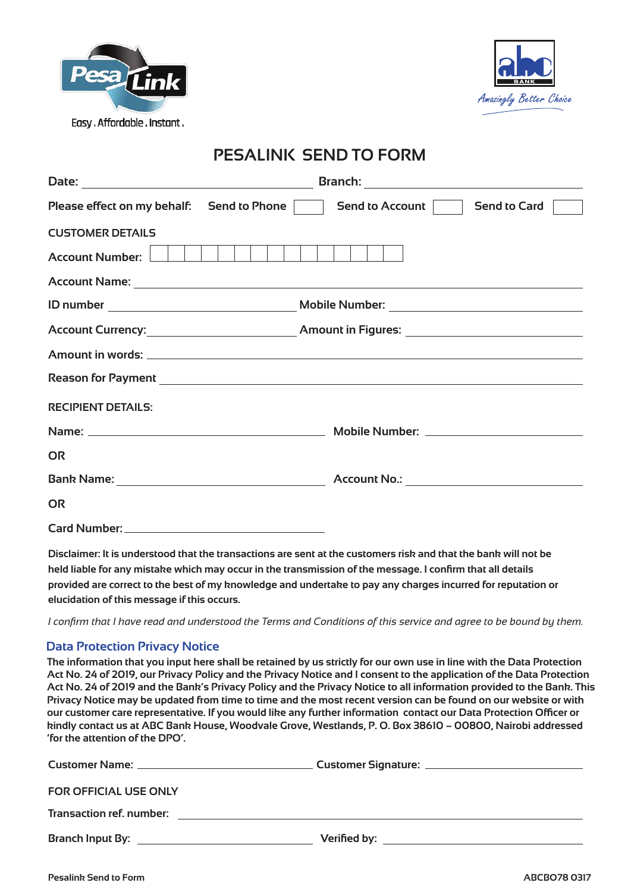



# **PESALINK SEND TO FORM**

| Please effect on my behalf: Send to Phone                                                                                                                                                                                      | Send to Account<br><b>Send to Card</b> |
|--------------------------------------------------------------------------------------------------------------------------------------------------------------------------------------------------------------------------------|----------------------------------------|
| <b>CUSTOMER DETAILS</b><br><b>Account Number:</b>                                                                                                                                                                              |                                        |
|                                                                                                                                                                                                                                |                                        |
|                                                                                                                                                                                                                                |                                        |
|                                                                                                                                                                                                                                |                                        |
|                                                                                                                                                                                                                                |                                        |
|                                                                                                                                                                                                                                |                                        |
| <b>RECIPIENT DETAILS:</b>                                                                                                                                                                                                      |                                        |
|                                                                                                                                                                                                                                |                                        |
| <b>OR</b>                                                                                                                                                                                                                      |                                        |
| Bank Name: North Manner State And State And State And State And State And State And State And State And State And State And State And State And State And State And State And State And State And State And State And State An |                                        |
| <b>OR</b>                                                                                                                                                                                                                      |                                        |
|                                                                                                                                                                                                                                |                                        |

**Disclaimer: It is understood that the transactions are sent at the customers risk and that the bank will not be held liable for any mistake which may occur in the transmission of the message. I confirm that all details provided are correct to the best of my knowledge and undertake to pay any charges incurred for reputation or elucidation of this message if this occurs.**

*I confirm that I have read and understood the Terms and Conditions of this service and agree to be bound by them.*

## **Data Protection Privacy Notice**

**The information that you input here shall be retained by us strictly for our own use in line with the Data Protection Act No. 24 of 2019, our Privacy Policy and the Privacy Notice and I consent to the application of the Data Protection Act No. 24 of 2019 and the Bank's Privacy Policy and the Privacy Notice to all information provided to the Bank. This Privacy Notice may be updated from time to time and the most recent version can be found on our website or with our customer care representative. If you would like any further information contact our Data Protection Officer or kindly contact us at ABC Bank House, Woodvale Grove, Westlands, P. O. Box 38610 – 00800, Nairobi addressed 'for the attention of the DPO'.**

| <b>FOR OFFICIAL USE ONLY</b>                                                                                                                             |  |
|----------------------------------------------------------------------------------------------------------------------------------------------------------|--|
| <b>Transaction ref. number:</b><br><u> 1989 - Jan Sterling von Berling von Berling von Berling von Berling von Berling von Berling von Berling von B</u> |  |
|                                                                                                                                                          |  |